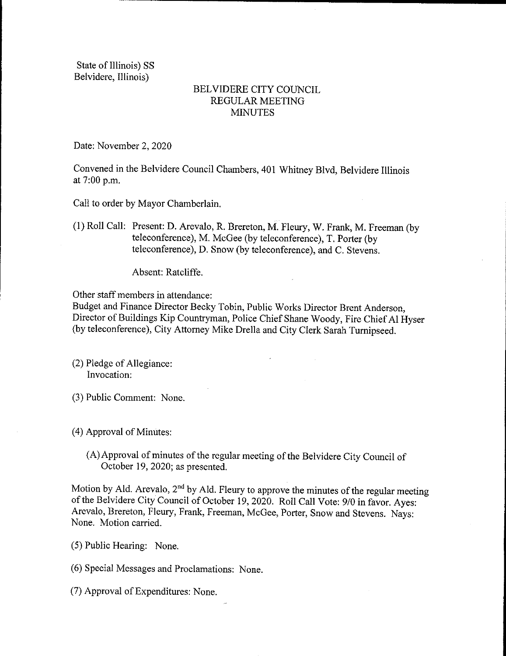State of Illinois) SS Belvidere, Illinois)

## BELVIDERE CITY COUNCIL REGULAR MEETING **MINUTES**

Date: November 2, 2020

Convened in the Belvidere Council Chambers, 401 Whitney Blvd, Belvidere Illinois at 7:00 p.m.

Call to order by Mayor Chamberlain.

1) Roll Call: Present: D. Arevalo, R. Brereton, M. Fleury, W. Frank, M. Freeman ( by teleconference), M. McGee (by teleconference), T. Porter (by teleconference), D. Snow( by teleconference), and C. Stevens.

Absent: Ratcliffe.

Other staff members in attendance:

Budget and Finance Director Becky Tobin, Public Works Director Brent Anderson, Director of Buildings Kip Countryman, Police Chief Shane Woody, Fire Chief Al Hyser by teleconference), City Attorney Mike Drella and City Clerk Sarah Turnipseed.

- 2) Pledge of Allegiance: Invocation:
- 3) Public Comment: None.
- 4) Approval of Minutes:
	- A)Approval of minutes of the regular meeting of the Belvidere City Council of October 19, 2020; as presented.

Motion by Ald. Arevalo,  $2<sup>nd</sup>$  by Ald. Fleury to approve the minutes of the regular meeting of the Belvidere City Council of October 19, 2020. Roll Call Vote: 9/0 in favor. Ayes: Arevalo, Brereton, Fleury, Frank, Freeman, McGee, Porter, Snow and Stevens. Nays: None. Motion carried.

5) Public Hearing: None.

6) Special Messages and Proclamations: None.

7) Approval of Expenditures: None.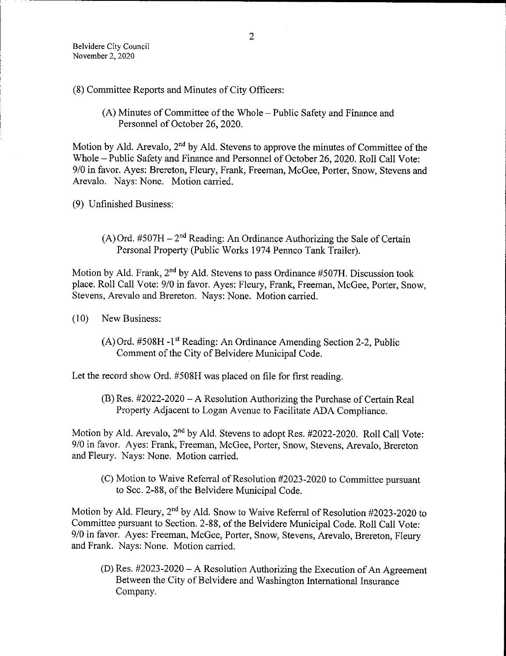- 8) Committee Reports and Minutes of City Officers:
	- A) Minutes of Committee of the Whole— Public Safety and Finance and Personnel of October 26, 2020.

Motion by Ald. Arevalo,  $2<sup>nd</sup>$  by Ald. Stevens to approve the minutes of Committee of the Whole— Public Safety and Finance and Personnel of October 26, 2020. Roll Call Vote: 9/0 in favor. Ayes: Brereton, Fleury, Frank, Freeman, McGee, Porter, Snow, Stevens and Arevalo. Nays: None. Motion carried.

9) Unfinished Business:

 $(A)$  Ord. #507H – 2<sup>nd</sup> Reading: An Ordinance Authorizing the Sale of Certain Personal Property (Public Works 1974 Pennco Tank Trailer).

Motion by Ald. Frank,  $2<sup>nd</sup>$  by Ald. Stevens to pass Ordinance #507H. Discussion took place. Roll Call Vote: 9/0 in favor. Ayes: Fleury, Frank, Freeman, McGee, Porter, Snow. Stevens, Arevalo and Brereton. Nays: None. Motion carried.

- 10) New Business:
	- (A) Ord. #508H -1<sup>st</sup> Reading: An Ordinance Amending Section 2-2, Public Comment of the City of Belvidere Municipal Code.

Let the record show Ord. #508H was placed on file for first reading.

 $(B)$  Res.  $#2022-2020 - A$  Resolution Authorizing the Purchase of Certain Real Property Adjacent to Logan Avenue to Facilitate ADA Compliance.

Motion by Ald. Arevalo, 2<sup>nd</sup> by Ald. Stevens to adopt Res. #2022-2020. Roll Call Vote: 9/0 in favor. Ayes: Frank, Freeman, McGee, Porter, Snow, Stevens, Arevalo, Brereton and Fleury. Nays: None. Motion carried.

(C) Motion to Waive Referral of Resolution #2023-2020 to Committee pursuant to Sec. 2- 88, of the Belvidere Municipal Code.

Motion by Ald. Fleury, 2<sup>nd</sup> by Ald. Snow to Waive Referral of Resolution #2023-2020 to Committee pursuant to Section. 2- 88, of the Belvidere Municipal Code. Roll Call Vote: 9/0 in favor. Ayes: Freeman, McGee, Porter, Snow, Stevens, Arevalo, Brereton, Fleury and Frank. Nays: None. Motion carried.

(D) Res.  $\#2023 - 2020 - A$  Resolution Authorizing the Execution of An Agreement Between the City of Belvidere and Washington International Insurance Company.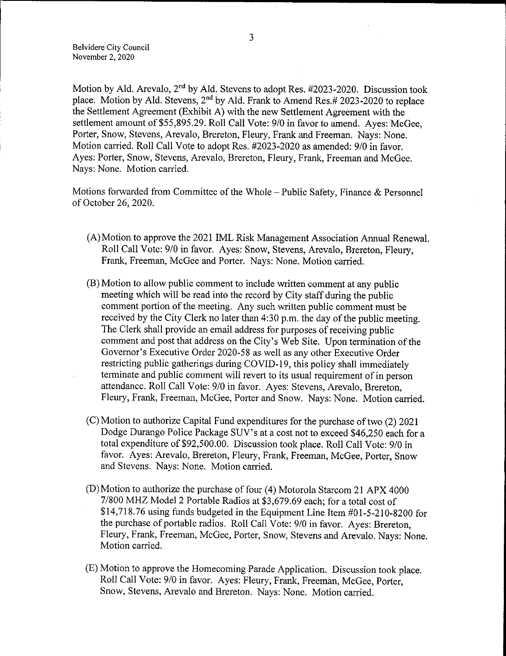Belvidere City Council November 2, 2020

Motion by Ald. Arevalo,  $2<sup>nd</sup>$  by Ald. Stevens to adopt Res. #2023-2020. Discussion took place. Motion by Ald. Stevens, 2<sup>nd</sup> by Ald. Frank to Amend Res.# 2023-2020 to replace the Settlement Agreement (Exhibit A) with the new Settlement Agreement with the settlement amount of \$55,895.29. Roll Call Vote: 9/0 in favor to amend. Ayes: McGee, Porter, Snow, Stevens, Arevalo, Brereton, Fleury, Frank and Freeman. Nays: None. Motion carried. Roll Call Vote to adopt Res. #2023-2020 as amended: 9/0 in favor. Ayes: Porter, Snow, Stevens, Arevalo, Brereton, Fleury, Frank, Freeman and McGee. Nays: None. Motion carried.

Motions forwarded from Committee of the Whole— Public Safety, Finance & Personnel of October 26, 2020.

- A) Motion to approve the 2021 IML Risk Management Association Annual Renewal. Roll Call Vote: 9/0 in favor. Ayes: Snow, Stevens, Arevalo, Brereton, Fleury, Frank, Freeman, McGee and Porter. Nays: None. Motion carried.
- B) Motion to allow public comment to include written comment at any public meeting which will be read into the record by City staff during the public comment portion of the meeting. Any such written public comment must be received by the City Clerk no later than 4:30 p.m. the day of the public meeting. The Clerk shall provide an email address for purposes of receiving public comment and post that address on the City's Web Site. Upon termination of the Governor's Executive Order 2020-58 as well as any other Executive Order restricting public gatherings during COVID- 19, this policy shall immediately terminate and public comment will revert to its usual requirement of in person attendance. Roll Call Vote: 9/0 in favor. Ayes: Stevens, Arevalo, Brereton, Fleury, Frank, Freeman, McGee, Porter and Snow. Nays: None. Motion carried.
- C) Motion to authorize Capital Fund expenditures for the purchase of two (2) 2021 Dodge Durango Police Package SUV's at a cost not to exceed \$46,250 each for a total expenditure of \$92,500.00. Discussion took place. Roll Call Vote: 9/0 in favor. Ayes: Arevalo, Brereton, Fleury, Frank, Freeman, McGee, Porter, Snow and Stevens. Nays: None. Motion carried.
- D) Motion to authorize the purchase of four (4) Motorola Starcom 21 APX 4000 7/800 MHZ Model 2 Portable Radios at \$3,679.69 each; for a total cost of \$14,718.76 using funds budgeted in the Equipment Line Item  $#01-5-210-8200$  for the purchase of portable radios. Roll Call Vote: 9/0 in favor. Ayes: Brereton, Fleury, Frank, Freeman, McGee, Porter, Snow, Stevens and Arevalo. Nays: None. Motion carried.
- E) Motion to approve the Homecoming Parade Application. Discussion took place. Roll Call Vote: 9/0 in favor. Ayes: Fleury, Frank, Freeman, McGee, Porter, Snow, Stevens, Arevalo and Brereton. Nays: None. Motion carried.